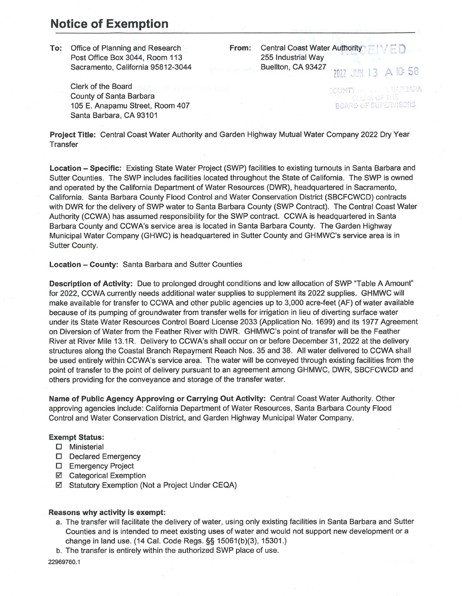## **Notice of Exemption**

**To:** Office of Planning and Research Post Office Box 3044, Room 113 Sacramento, California 95812-3044 **From:** Central Coast Water Authority 255 Industrial Way Buellton, CA 93427 A 10:58  $7077$  ...

Clerk of the Board County of Santa Barbara 105 E. Anapamu Street, Room 407 Santa Barbara, CA 93101

COUNT BOARD OF SUPERVISORS

**Project Title:** Central Coast Water Authority and Garden Highway Mutual Water Company 2022 Dry Year **Transfer** 

**Location - Specific:** Existing State Water Project (SWP) facilities to existing turnouts in Santa Barbara and Sutter Counties. The SWP includes facilities located throughout the State of California. The SWP is owned and operated by the California Department of Water Resources (DWR), headquartered in Sacramento, California. Santa Barbara County Flood Control and Water Conservation District (SBCFCWCD) contracts with DWR for the delivery of SWP water to Santa Barbara County (SWP Contract). The Central Coast Water Authority (CCWA) has assumed responsibility for the SWP contract. CCWA is headquartered in Santa Barbara County and CCWA's service area is located in Santa Barbara County. The Garden Highway Municipal Water Company (GHWC) is headquartered in Sutter County and GHMWC's service area is in Sutter County.

**Location - County:** Santa Barbara and Sutter Counties

**Description of Activity:** Due to prolonged drought conditions and low allocation of SWP "Table A Amount" for 2022, CCWA currently needs additional water supplies to supplement its 2022 supplies. GHMWC will make available for transfer to CCWA and other public agencies up to 3,000 acre-feet (AF) of water available because of its pumping of groundwater from transfer wells for irrigation in lieu of diverting surface water under its State Water Resources Control Board License 2033 (Application No. 1699) and its 1977 Agreement on Diversion of Water from the Feather River with DWR. GHMWC's point of transfer will be the Feather River at River Mile 13.1R. Delivery to CCWA's shall occur on or before December 31, 2022 at the delivery structures along the Coastal Branch Repayment Reach Nos. 35 and 38. All water delivered to CCWA shall be used entirely within CCWA's service area. The water will be conveyed through existing facilities from the point of transfer to the point of delivery pursuant to an agreement among GHMWC, DWR, SBCFCWCD and others providing for the conveyance and storage of the transfer water.

**Name of Public Agency Approving or Carrying Out Activity:** Central Coast Water Authority. Other approving agencies include: California Department of Water Resources, Santa Barbara County Flood Control and Water Conservation District, and Garden Highway Municipal Water Company.

## **Exempt Status:**

- **D** Ministerial
- D Declared Emergency
- **D** Emergency Project
- Categorical Exemption
- Statutory Exemption (Not a Project Under CEQA)

## **Reasons why activity is exempt:**

- a. The transfer will facilitate the delivery of water, using only existing facilities in Santa Barbara and Sutter Counties and is intended to meet existing uses of water and would not support new development or a change in land use. (14 Cal. Code Regs.§§ 15061(b}(3), 15301.)
- b. The transfer is entirely within the authorized SWP place of use.

22969760.1